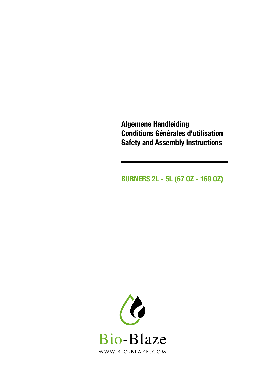**Algemene Handleiding Conditions Générales d'utilisation Safety and Assembly Instructions** 

**burners 2L - 5L (67 oz - 169 oz)**

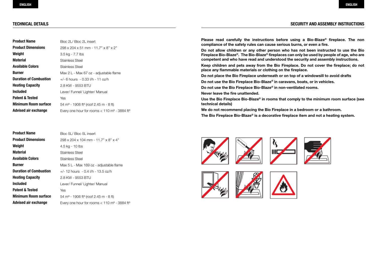# **Technical details**

# **SECURITY AND ASSEMBLY INSTRUCTIONS**

| <b>Product Name</b>           | Bloc 2L/ Bloc 2L insert                                                |
|-------------------------------|------------------------------------------------------------------------|
| <b>Product Dimensions</b>     | 298 x 204 x 51 mm - 11.7" x 8" x 2"                                    |
| Weight                        | 3.5 kg - 7.7 lbs                                                       |
| <b>Material</b>               | Stainless Steel                                                        |
| <b>Available Colors</b>       | Stainless Steel                                                        |
| Burner                        | Max 2 L - Max 67 oz - adjustable flame                                 |
| <b>Duration of Combustion</b> | $+/-$ 6 hours - 0.33 $1/h$ - 11 oz/h                                   |
| <b>Heating Capacity</b>       | 2.8 KW - 9553 BTU                                                      |
| <b>Included</b>               | Lever/Funnel/Lighter/Manual                                            |
| <b>Patent &amp; Tested</b>    | Yes                                                                    |
| Minimum Room surface          | 54 m <sup>3</sup> - 1906 ft <sup>3</sup> (roof 2.45 m - 8 ft)          |
| Advised air exchange          | Every one hour for rooms $< 110$ m <sup>3</sup> - 3884 ft <sup>3</sup> |
|                               |                                                                        |

# **Product Name Product Dimensions Weight Material Available Colors Burner Duration of Combustion Heating Capacity Included Patent & Tested Minimum Room surface Advised air exchange** Yes

Bloc 5L/ Bloc 5L insert 298 x 204 x 104 mm - 11.7'' x 8'' x 4'' 4.5 kg - 10 lbs Stainless Steel Stainless Steel Max 5 L - Max 169 oz - adjustable flame +/- 12 hours - 0.4 l/h - 13.5 oz/h 2.8 KW - 9553 BTU Lever/ Funnel/ Lighter/ Manual 54 m<sup>3</sup> - 1906 ft<sup>3</sup> (roof 2.45 m - 8 ft) Every one hour for rooms  $< 110$  m<sup>3</sup> - 3884 ft<sup>3</sup> **Please read carefully the instructions before using a Bio-Blaze® fireplace. The non compliance of the safety rules can cause serious burns, or even a fire.**

**Do not allow children or any other person who has not been instructed to use the Bio Fireplace Bio-Blaze®. The Bio-Blaze® fireplaces can only be used by people of age, who are competent and who have read and understood the security and assembly instructions.**

**Keep children and pets away from the Bio Fireplace. Do not cover the fireplace; do not place any flammable materials or clothing on the fireplace.**

**Do not place the Bio Fireplace underneath or on top of a windowsill to avoid drafts**

**Do not use the Bio Fireplace Bio-Blaze® in caravans, boats, or in vehicles.**

**Do not use the Bio Fireplace Bio-Blaze® in non-ventilated rooms.**

**Never leave the fire unattended.**

**Use the Bio Fireplace Bio-Blaze® in rooms that comply to the minimum room surface (see technical details)**

**We do not recommend placing the Bio Fireplace in a bedroom or a bathroom.** 

**The Bio Fireplace Bio-Blaze® is a decorative fireplace item and not a heating system.**









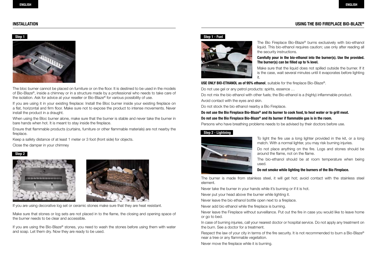#### **Step 1**



The bloc burner cannot be placed on furniture or on the floor. It is destined to be used in the models of Bio-Blaze®, inside a chimney or in a structure made by a professional who needs to take care of the isolation. Ask for advice at your reseller or Bio-Blaze® for various possibility of use.

If you are using it in your existing fireplace: Install the Bloc burner inside your existing fireplace on a flat, horizontal and firm floor. Make sure not to expose the product to intense movements. Never install the product in a draught.

When using the Bloc burner alone, make sure that the burner is stable and never take the burner in bare hands when hot. It is meant to stay inside the fireplace.

Ensure that flammable products (curtains, furniture or other flammable materials) are not nearby the fireplace.

Keep a safety distance of at least 1 meter or 3 foot (front side) for objects.

Close the damper in your chimney

# **Step 2**





If you are using decorative log set or ceramic stones make sure that they are heat resistant.

Make sure that stones or log sets are not placed in to the flame, the closing and opening space of the burner needs to be clear and accessible.

If you are using the Bio-Blaze® stones, you need to wash the stones before using them with water and soap. Let them dry. Now they are ready to be used.

#### **Step 1 - Fuel**



The Bio Fireplace Bio-Blaze® burns exclusively with bio-ethanol liquid. This bio-ethanol requires caution; use only after reading all the security instructions.

## **Carefully pour in the bio-ethanol into the burner(s). Use the provided. The burner(s) can be filled up to ¾ level.**

Make sure that the liquid does not spilled outside the burner. If it is the case, wait several minutes until it evaporates before lighting it.

**USE ONLY BIO-ETHANOL as of 95% ethanol**, suitable for the fireplace Bio-Blaze®.

Do not use gel or any petrol products: spirits, essence …

Do not mix the bio ethanol with other fuels; the Bio-ethanol is a (highly) inflammable product.

Avoid contact with the eyes and skin.

Do not stock the bio ethanol nearby a Bio Fireplace.

**Do not use the Bio Fireplace Bio-Blaze® and its burner to cook food, to heat water or to grill meat.**

## **Do not use the Bio Fireplace Bio-Blaze® and its burner if flammable gas is in the room.**

Persons who have breathing problems needs to be advised by their doctors before use.

# **Step 2 - Lightning**



To light the fire use a long lighter provided in the kit, or a long match. With a normal lighter, you may risk burning injuries.

Do not place anything on the fire. Logs and stones should be around the flame, not on the flame.

The bio-ethanol should be at room temperature when being used.

#### **Do not smoke while lighting the burners of the Bio Fireplace.**

The burner is made from stainless steel, it will get hot; avoid contact with the stainless steel element.

Never take the burner in your hands while it's burning or if it is hot.

Never put your head above the burner while lighting it.

Never leave the bio ethanol bottle open next to a fireplace.

Never add bio ethanol while the fireplace is burning.

Never leave the Fireplace without surveillance. Put out the fire in case you would like to leave home or go to bed.

In case of burning injuries, call your nearest doctor or hospital service. Do not apply any treatment on the burn. See a doctor for a treatment.

Respect the law of your city in terms of the fire security. It is not recommended to burn a Bio-Blaze® near a tree or any flammable vegetation.

Never move the fireplace while it is burning.

# **USING THE BIO FIREPLACE BIO-BLAZE® INSTALLATION**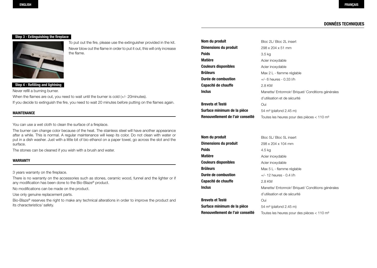# **Données Techniques**

# **Step 3 - Extinguishing the fireplace**



To put out the fire, please use the extinguisher provided in the kit. Never blow out the flame in order to put it out, this will only increase the flame.

**Step 4 - Refilling and lightning**

Never refill a burning burner.

When the flames are out, you need to wait until the burner is cold (+/- 20minutes). If you decide to extinguish the fire, you need to wait 20 minutes before putting on the flames again.

# **MAINTENANCE**

You can use a wet cloth to clean the surface of a fireplace.

The burner can change color because of the heat. The stainless steel will have another appearance after a while. This is normal. A regular maintenance will keep its color. Do not clean with water or put in a dish washer. Just with a little bit of bio ethanol on a paper towel, go across the slot and the surface.

The stones can be cleaned if you wish with a brush and water.

# **WARRANTY**

3 years warranty on the fireplace.

There is no warranty on the accessories such as stones, ceramic wood, funnel and the lighter or if any modification has been done to the Bio-Blaze® product.

No modifications can be made on the product.

Use only genuine replacement parts.

Bio-Blaze® reserves the right to make any technical alterations in order to improve the product and its characteristics/ safety.

| Nom du produit                    | Bloc 2L/ Bloc 2L insert                                |
|-----------------------------------|--------------------------------------------------------|
| Dimensions du produit             | $298 \times 204 \times 51$ mm                          |
| <b>Poids</b>                      | 3.5 kg                                                 |
| <b>Matière</b>                    | Acier inoxydable                                       |
| <b>Couleurs disponibles</b>       | Acier inoxydable                                       |
| <b>Brûleurs</b>                   | Max 2 L - flamme réglable                              |
| Durée de combustion               | $+/-$ 6 heures - 0.33 l/h                              |
| Capacité de chauffe               | 2.8 KW                                                 |
| <b>Inclus</b>                     | Manette/ Entonnoir/ Briquet/ Conditions générales      |
|                                   | d'utilisation et de sécurité                           |
| <b>Brevets et Testé</b>           | Oui                                                    |
| Surface minimum de la pièce       | 54 m <sup>3</sup> (plafond 2.45 m)                     |
| Renouvellement de l'air conseillé | Toutes les heures pour des pièces < 110 m <sup>3</sup> |

| Nom du produit                    | Bloc 5L/Bloc 5L insert                                   |
|-----------------------------------|----------------------------------------------------------|
| Dimensions du produit             | 298 x 204 x 104 mm                                       |
| <b>Poids</b>                      | 4.5 kg                                                   |
| <b>Matière</b>                    | Acier inoxydable                                         |
| <b>Couleurs disponibles</b>       | Acier inoxydable                                         |
| <b>Brûleurs</b>                   | Max 5 L - flamme réglable                                |
| Durée de combustion               | $+/- 12$ heures - 0.4 $1/h$                              |
| Capacité de chauffe               | 2.8 KW                                                   |
| <b>Inclus</b>                     | Manette/ Entonnoir/ Briguet/ Conditions générales        |
|                                   | d'utilisation et de sécurité                             |
| <b>Brevets et Testé</b>           | Oui                                                      |
| Surface minimum de la pièce       | $54 \text{ m}^3$ (plafond 2.45 m)                        |
| Renouvellement de l'air conseillé | Toutes les heures nour des pièces $< 110 \mathrm{\ m}^3$ |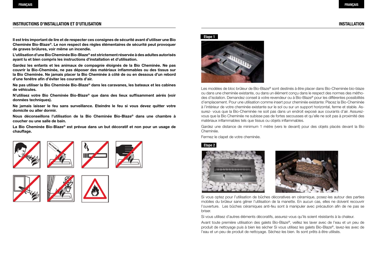# **INSTRUCTIONS D'INSTALLATION ET D'UTILISATION INSTALLATION**

**Il est très important de lire et de respecter ces consignes de sécurité avant d'utiliser une Bio Cheminée Bio-Blaze®. Le non respect des règles élémentaires de sécurité peut provoquer de graves brûlures, voir même un incendie.**

**L'utilisation d'une Bio Cheminée Bio-Blaze® est strictement réservée à des adultes autorisés ayant lu et bien compris les instructions d'installation et d'utilisation.** 

**Gardez les enfants et les animaux de compagnie éloignés de la Bio Cheminée. Ne pas couvrir la Bio-Cheminée, ne pas déposer des matériaux inflammables ou des tissus sur la Bio Cheminée. Ne jamais placer la Bio Cheminée à côté de ou en dessous d'un rebord d'une fenêtre afin d'éviter les courants d'air.**

**Ne pas utiliser la Bio Cheminée Bio-Blaze® dans les caravanes, les bateaux et les cabines de véhicules.**

**N'utilisez votre Bio Cheminée Bio-Blaze® que dans des lieux suffisamment aérés (voir données techniques).**

**Ne jamais laisser le feu sans surveillance. Eteindre le feu si vous devez quitter votre domicile ou aller dormir.**

**Nous déconseillons l'utilisation de la Bio Cheminée Bio-Blaze® dans une chambre à coucher ou une salle de bain.**

**La Bio Cheminée Bio-Blaze® est prévue dans un but décoratif et non pour un usage de chauffage.** 











Les modèles de bloc brûleur de Bio-Blaze® sont destinés à être placer dans Bio-Cheminée bio-blaze ou dans une cheminée existante, ou dans un élément conçu dans le respect des normes des méthodes d'isolation. Demandez conseil à votre revendeur ou à Bio-Blaze® pour les différentes possibilités d'emplacement. Pour une utilisation comme insert pour cheminée existante: Placez la Bio-Cheminée à l'intérieur de votre cheminée existante sur le sol ou sur un support horizontal, ferme et stable. Assurez- vous que la Bio-Cheminée ne soit pas dans un endroit exposé aux courants d'air. Assurezvous que la Bio Cheminée ne subisse pas de fortes secousses et qu'elle ne soit pas à proximité des matériaux inflammables tels que tissus ou objets inflammables.

Gardez une distance de minimum 1 mètre (vers le devant) pour des objets placés devant la Bio Cheminée.

Fermez le clapet de votre cheminée.

**Etape 2**





Si vous optez pour l'utilisation de bûches décoratives en céramique, posez-les autour des parties mobiles du brûleur sans gêner l'utilisation de la manette. En aucun cas, elles ne doivent recouvrir l'ouverture. Les bûches céramiques anti-feu sont à manipuler avec précaution afin de ne pas se briser.

Si vous utilisez d'autres éléments décoratifs, assurez-vous qu'ils soient résistants à la chaleur.

Avant toute première utilisation des galets Bio-Blaze®, veillez les laver avec de l'eau et un peu de produit de nettoyage puis à bien les sécher Si vous utilisez les galets Bio-Blaze®, lavez-les avec de l'eau et un peu de produit de nettoyage. Séchez-les bien. Ils sont prêts à être utilisés.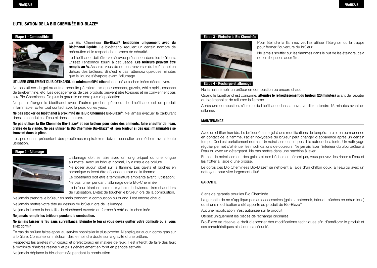# **L'UTILISATION DE LA BIO CHEMINÉE BIO-BLAZE®**

# **Etape 1 - Combustible**



La Bio Cheminée **Bio-Blaze® fonctionne uniquement avec du Bioéthanol liquide.** Le bioéthanol requiert un certain nombre de précaution et le respect des normes de sécurité.

Le bioéthanol doit être versé avec précaution dans les brûleurs. Utilisez l'entonnoir fourni à cet usage. **Les brûleurs peuvent être remplis au ¾.** Assurez-vous de ne pas renverser du bioéthanol en dehors des brûleurs. Si c'est le cas, attendez quelques minutes que le liquide s'évapore avant l'allumage.

**UTILISER SEULEMENT DU BIOETHANOL de minimum 95% éthanol** destiné aux cheminées décoratives.

Ne pas utiliser de gel ou autres produits pétroliers tels que : essence, gazole, white spirit, essence de térébenthine, etc. Les dégagements de ces produits peuvent être toxiques et ne conviennent pas aux Bio Cheminées. De plus la garantie ne sera plus d'application.

Ne pas mélanger le bioéthanol avec d'autres produits pétroliers. Le bioéthanol est un produit inflammable. Eviter tout contact avec la peau ou les yeux.

**Ne pas stocker de bioéthanol à proximité de la Bio Cheminée Bio-Blaze®**. Ne jamais évacuer le carburant dans les conduites d'eau ni dans la nature.

**Ne pas utiliser la Bio Cheminée Bio-Blaze® et son brûleur pour cuire des aliments, faire chauffer de l'eau, grillée de la viande. Ne pas utiliser la Bio Cheminée Bio-Blaze® et son brûleur si des gaz inflammables se trouvent dans la pièce.**

Les personnes présentant des problèmes respiratoires doivent consulter un médecin avant toute utilisation.

## **Etape 2 - Allumage**



L'allumage doit se faire avec un long briquet ou une longue allumette. Avec un briquet normal, il y a risque de brûlure. Ne poser aucun objet sur la flamme. Les galets et bûches en céramique doivent être déposés autour de la flamme. Le bioéthanol doit être a température ambiante avant l'utilisation; Ne pas fumer pendant l'allumage de la Bio-Cheminée. Le brûleur étant en acier inoxydable, il deviendra très chaud lors de l'utilisation. Evitez de toucher le brûleur lors de la combustion.

Ne jamais prendre le brûleur en main pendant la combustion ou quand il est encore chaud.

Ne jamais mettre votre tête au dessus du brûleur lors de l'allumage.

Ne jamais laisser la bouteille de bioéthanol ouverte ou fermée à côté de la cheminée

#### **Ne jamais remplir les brûleurs pendant la combustion.**

# **Ne jamais laisser le feu sans surveillance. Eteindre le feu si vous devez quitter votre domicile ou si vous allez dormir.**

En cas de brûlure faites appel au service hospitalier le plus proche. N'appliquez aucun corps gras sur la brûlure. Consultez un médecin dès le moindre doute sur la gravité d'une brûlure.

Respectez les arrêtés municipaux et préfectoraux en matière de feux. Il est interdit de faire des feux à proximité d'arbres résineux et plus généralement en forêt en période estivale.

### **Etape 3 - Eteindre la Bio Cheminée**



Pour éteindre la flamme, veuillez utiliser l'éteignoir ou la trappe pour fermer l'ouverture du brûleur.

Ne jamais souffler sur les flammes dans le but de les éteindre, cela ne ferait que les accroître.

# **Etape 4 - Recharge et allumage**

Ne jamais remplir un brûleur en combustion ou encore chaud.

Quand le bioéthanol est consumé, **attendez le refroidissement du brûleur (20 minutes)** avant de rajouter du bioéthanol et de rallumer la flamme.

Après une combustion, s'il reste du bioéthanol dans la cuve, veuillez attendre 15 minutes avant de rallumer.

## **MAINTENANCE**

Avec un chiffon humide. Le brûleur étant sujet à des modifications de température et en permanence en contact de la flamme, l'acier inoxydable du brûleur peut changer d'apparence après un certain temps. Ceci est parfaitement normal. Un noircissement est possible autour de la fente. Un nettoyage régulier permet d'atténuer les modifications de couleurs. Ne jamais laver l'intérieur du bloc brûleur à l'eau ou avec un détergeant. Ne pas mettre dans une machine à laver.

En cas de noircissement des galets et des bûches en céramique, vous pouvez les rincer à l'eau et les frotter à l'aide d'une brosse.

Le corps des Bio Cheminées Bio-Blaze® se nettoient à l'aide d'un chiffon doux, à l'eau ou avec un nettoyant pour vitre largement dilué.

## **garantie**

3 ans de garantie pour les Bio Cheminée

La garantie de ne s'applique pas aux accessoires (galets, entonnoir, briquet, bûches en céramique) ou si une modification a été apporté au produit de Bio-Blaze®.

Aucune modification n'est autorisée sur le produit.

Utilisez uniquement les pièces de rechange originales.

Bio-Blaze se réserve le droit d'apporter des modifications techniques afin d'améliorer le produit et ses caractéristiques ainsi que sa sécurité.

Ne jamais déplacer la bio-cheminée pendant la combustion.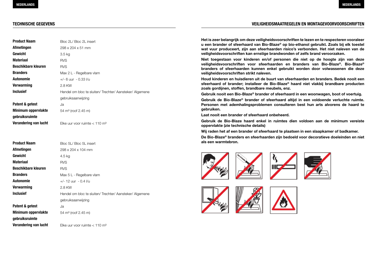# **Technische Gegevens**

| <b>Product Naam</b>        | Bloc 2L/Bloc 2L insert                                   |
|----------------------------|----------------------------------------------------------|
| <b>Afmetingen</b>          | 298 x 204 x 51 mm                                        |
| Gewicht                    | 3.5 kg                                                   |
| <b>Materiaal</b>           | <b>RVS</b>                                               |
| <b>Beschikbare kleuren</b> | <b>RVS</b>                                               |
| <b>Branders</b>            | Max 2 L - Regelbare vlam                                 |
| <b>Autonomie</b>           | +/- 6 uur - 0.33 l/u                                     |
| <b>Verwarming</b>          | 2.8 KW                                                   |
| <b>Inclusief</b>           | Hendel om bloc te sluiten/ Trechter/ Aansteker/ Algemene |
|                            | gebruiksaanwijzing                                       |
| Patent & getest            | Ja                                                       |
| <b>Minimum oppervlakte</b> | 54 m <sup>3</sup> (roof 2.45 m)                          |
| qebruiksruimte             |                                                          |
| Verandering van lucht      | Elke uur voor ruimte $< 110$ m <sup>3</sup>              |

| <b>Product Naam</b>        | Bloc 5L/Bloc 5L insert                                   |
|----------------------------|----------------------------------------------------------|
| Afmetingen                 | 298 x 204 x 104 mm                                       |
| Gewicht                    | 4.5 kg                                                   |
| <b>Materiaal</b>           | <b>RVS</b>                                               |
| <b>Beschikbare kleuren</b> | <b>RVS</b>                                               |
| <b>Branders</b>            | Max 5 L - Regelbare vlam                                 |
| <b>Autonomie</b>           | +/- 12 uur - 0.4 l/u                                     |
| <b>Verwarming</b>          | 2.8 KW                                                   |
| <b>Inclusief</b>           | Hendel om bloc te sluiten/ Trechter/ Aansteker/ Algemene |
|                            | gebruiksaanwijzing                                       |
| Patent & getest            | Ja                                                       |
| <b>Minimum oppervlakte</b> | 54 m <sup>3</sup> (roof 2.45 m)                          |
| gebruiksruimte             |                                                          |
| Verandering van lucht      | Elke uur voor ruimte $< 110$ m <sup>3</sup>              |

**Het is zeer belangrijk om deze veiligheidsvoorschriften te lezen en te respecteren vooraleer u een brander of sfeerhaard van Bio-Blaze® op bio-ethanol gebruikt. Zoals bij elk toestel wat vuur produceert, zijn aan sfeerhaarden risico's verbonden. Het niet naleven van de veiligheidsvoorschriften kan ernstige brandwonden of zelfs brand veroorzaken.**

**Niet toegestaan voor kinderen en/of personen die niet op de hoogte zijn van deze veiligheidsvoorschriften voor sfeerhaarden en branders van Bio-Blaze®. Bio-Blaze® branders of sfeerhaarden kunnen enkel gebruikt worden door volwassenen die deze veiligheidsvoorschriften strikt naleven.**

**Houd kinderen en huisdieren uit de buurt van sfeerhaarden en branders. Bedek nooit een sfeerhaard of brander; installeer de Bio-Blaze® haard niet vlakbij brandbare producten zoals gordijnen, stoffen, brandbare meubels, enz.**

**Gebruik nooit een Bio-Blaze® brander of sfeerhaard in een woonwagen, boot of voertuig.**

**Gebruik de Bio-Blaze® brander of sfeerhaard altijd in een voldoende verluchte ruimte. Personen met ademhalingsproblemen consulteren best hun arts alvorens de haard te gebruiken.**

**Laat nooit een brander of sfeerhaard onbeheerd.**

**Gebruik de Bio-Blaze haard enkel in ruimtes dien voldoen aan de minimum vereiste oppervlakte (zie technische details)**

**Wij raden het af een brander of sfeerhaard te plaatsen in een slaapkamer of badkamer.**

**De Bio-Blaze® branders en sfeerhaarden zijn bedoeld voor decoratieve doeleinden en niet als een warmtebron.**















**VEILIGHEIDSMAATREGELEN EN MONTAGEVOORVOORSCHRIFTEN**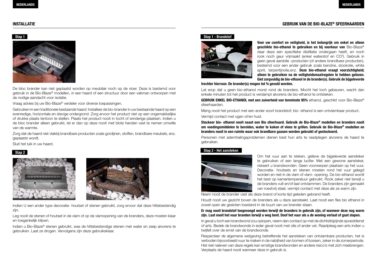# **Gebruik van de Bio-Blaze® INSTALLATIE sfeerhaarden**

## **Stap 1**



De bloc brander kan niet geplaatst worden op meubilair noch op de vloer. Deze is bestemd voor gebruik in de Bio-Blaze® modellen, in een haard of een structuur door een vakman ontworpen met de nodige aandacht voor isolatie.

Vraag advies bij uw Bio-Blaze® verdeler voor diverse toepassingen.

Gebruiken in een traditionele bestaande haard: Installeer de bio-brander in uw bestaande haard op een evenredige, horizontale en stevige ondergrond. Zorg ervoor het product niet op een ongemakkelijke of drukke plaats tentoon te stellen. Plaats het product nooit in tocht of winderige plaatsen. Indien u de bloc brander alleen gebruikt, let er dan op deze nooit met blote handen vast te nemen omwille van de warmte.

Zorg dat de haard niet vlakbij brandbare producten zoals gordijnen, stoffen, brandbare meubels, enz. geplaatst wordt.

Sluit het luik in uw haard.







Indien U een ander type decoratie- houtset of stenen gebruikt, zorg ervoor dat deze hittebestendig zijn.

Leg nooit de stenen of houtset in de vlam of op de vlamopening van de branders, deze moeten klaar en toegankelijk blijven.

Indien u Bio-Blaze® stenen gebruikt, was de hittebestendige stenen met water en zeep alvorens te gebruiken. Laat ze drogen. Vervolgens zijn deze gebruiksklaar.

# **Stap 1 - Brandstof**



**Voor uw comfort en veiligheid, is het belangrijk om enkel en alleen geschikte bio-ethanol te gebruiken en bij voorkeur van** Bio-Blaze® daar deze een specifieke distillatie ondergaan heeft, en noch rook noch geur vrijmaakt (enkel waterstof en CO<sup>2</sup>). Gebruik in geen geval aardolie -producten (of andere brandbare producten), bestemd voor een ander gebruik zoals benzine, stookolie, white spirit, terpentijnolie,enz. **Deze bio-ethanol vraagt voorzichtigheid; alleen te gebruiken na de veiligheidsmaatregelen te hebben gelezen. Giet zorgvuldig de bio-ethanol in de brander(s). Gebruik de bijgeleverde** 

**trechter hiervoor. De brander(s) mogen tot ¾ gevuld worden.**

Let erop dat u geen bio-ethanol morst rond de branders. Mocht het toch gebeuren, wacht dan enkele minuten tot het product is verdampt alvorens de bio-ethanol te ontsteken.

**GEBRUIK ENKEL BIO-ETHANOL met een zuiverheid van tenminste 95%** ethanol, geschikt voor Bio-Blaze® sfeerhaarden.

Meng nooit het product met een ander soort brandstof; bio- ethanol is een ontvlambaar product.

Vermijd contact met ogen of/en huid.

**Stockeer bio- ethanol nooit naast een Bio sfeerhaard. Gebruik de Bio-Blaze® modellen en branders nooit om voedingsmiddelen te bereiden, water te koken of vlees te grillen. Gebruik de Bio-Blaze® modellen en branders nooit in een ruimte waar ook brandbare gassen worden gebruikt of gestockeerd.**

Personen met ademhalingsproblemen dienen best hun arts te raadplegen alvorens de haard te gebruiken.

## **Stap 2 - Het aansteken**



Om het vuur aan te steken, gelieve de bijgeleverde aansteker te gebruiken of een lange lucifer. Met een gewone aansteker, riskeert u brandwonden. Geen voorwerpen plaatsen op het vuur. Decoratie- houtsets en stenen moeten rond het vuur gelegd worden en niet in de vlam of vlam- opening. De bio-ethanol wordt het best op kamertemperatuur gebruikt. Rook zeker niet terwijl u de branders vult en/of laat ontvlammen. De branders zijn gemaakt van roestvrij staal, vermijd contact met deze als ze warm zijn.

Neem nooit de brander vast als deze brand of korte tijd geleden gebrand heeft.

Houdt nooit uw gezicht boven de branders als u deze aansteekt. Laat nooit een fles bio ethanol in zowel open als gesloten toestand in de buurt van uw brander staan.

## **Er mag nooit brandstof toegevoegd worden terwijl de branders in gebruik zijn, of wanneer deze nog warm zijn. Laat nooit het vuur branden terwijl u weg bent. Doof het vuur als u de woning verlaat of gaat slapen.**

In geval u toch een brandwond zou oplopen, neem dan contact op met de dichtstbijzijnde spoeddienst of arts. Bedek de brandwonde in ieder geval nooit met olie of ander vet. Raadpleeg een arts indien u twijfelt over de ernst van de brandwonde.

Respecteer de algemene wetgeving betreffende het aansteken van ontvlambare producten, het is verboden bijvoorbeeld vuur te maken in de nabijheid van bomen of bossen, zeker in de zomerperiode. Het niet naleven van deze regels kan ernstige brandwonden en andere risico's met zich meebrengen. Verplaats de haard nooit wanneer deze in gebruik is.